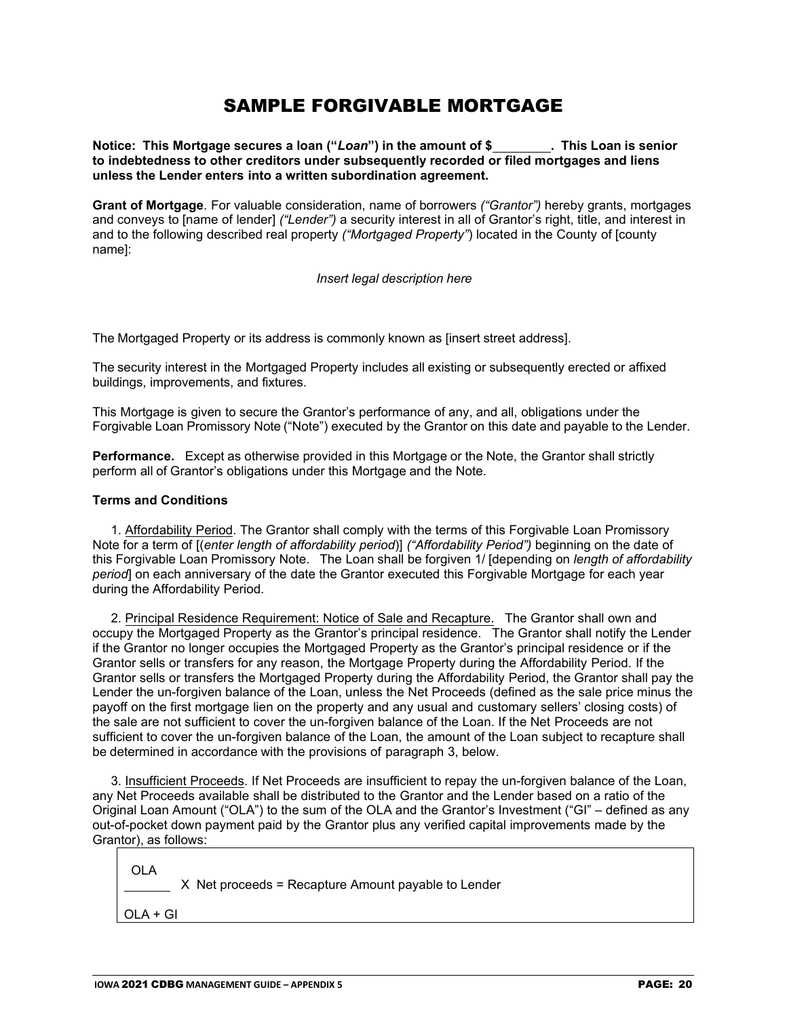# SAMPLE FORGIVABLE MORTGAGE

**Notice: This Mortgage secures a loan ("***Loan***") in the amount of \$ . This Loan is senior to indebtedness to other creditors under subsequently recorded or filed mortgages and liens unless the Lender enters into a written subordination agreement.**

**Grant of Mortgage**. For valuable consideration, name of borrowers *("Grantor")* hereby grants, mortgages and conveys to [name of lender] *("Lender")* a security interest in all of Grantor's right, title, and interest in and to the following described real property *("Mortgaged Property"*) located in the County of [county name]:

*Insert legal description here*

The Mortgaged Property or its address is commonly known as [insert street address].

The security interest in the Mortgaged Property includes all existing or subsequently erected or affixed buildings, improvements, and fixtures.

This Mortgage is given to secure the Grantor's performance of any, and all, obligations under the Forgivable Loan Promissory Note ("Note") executed by the Grantor on this date and payable to the Lender.

**Performance.** Except as otherwise provided in this Mortgage or the Note, the Grantor shall strictly perform all of Grantor's obligations under this Mortgage and the Note.

#### **Terms and Conditions**

1. Affordability Period. The Grantor shall comply with the terms of this Forgivable Loan Promissory Note for a term of [(*enter length of affordability period*)] *("Affordability Period")* beginning on the date of this Forgivable Loan Promissory Note. The Loan shall be forgiven 1/ [depending on *length of affordability period*] on each anniversary of the date the Grantor executed this Forgivable Mortgage for each year during the Affordability Period.

2. Principal Residence Requirement: Notice of Sale and Recapture. The Grantor shall own and occupy the Mortgaged Property as the Grantor's principal residence. The Grantor shall notify the Lender if the Grantor no longer occupies the Mortgaged Property as the Grantor's principal residence or if the Grantor sells or transfers for any reason, the Mortgage Property during the Affordability Period. If the Grantor sells or transfers the Mortgaged Property during the Affordability Period, the Grantor shall pay the Lender the un-forgiven balance of the Loan, unless the Net Proceeds (defined as the sale price minus the payoff on the first mortgage lien on the property and any usual and customary sellers' closing costs) of the sale are not sufficient to cover the un-forgiven balance of the Loan. If the Net Proceeds are not sufficient to cover the un-forgiven balance of the Loan, the amount of the Loan subject to recapture shall be determined in accordance with the provisions of paragraph 3, below.

3. Insufficient Proceeds. If Net Proceeds are insufficient to repay the un-forgiven balance of the Loan, any Net Proceeds available shall be distributed to the Grantor and the Lender based on a ratio of the Original Loan Amount ("OLA") to the sum of the OLA and the Grantor's Investment ("GI" – defined as any out-of-pocket down payment paid by the Grantor plus any verified capital improvements made by the Grantor), as follows:

OLA

X Net proceeds = Recapture Amount payable to Lender

OLA + GI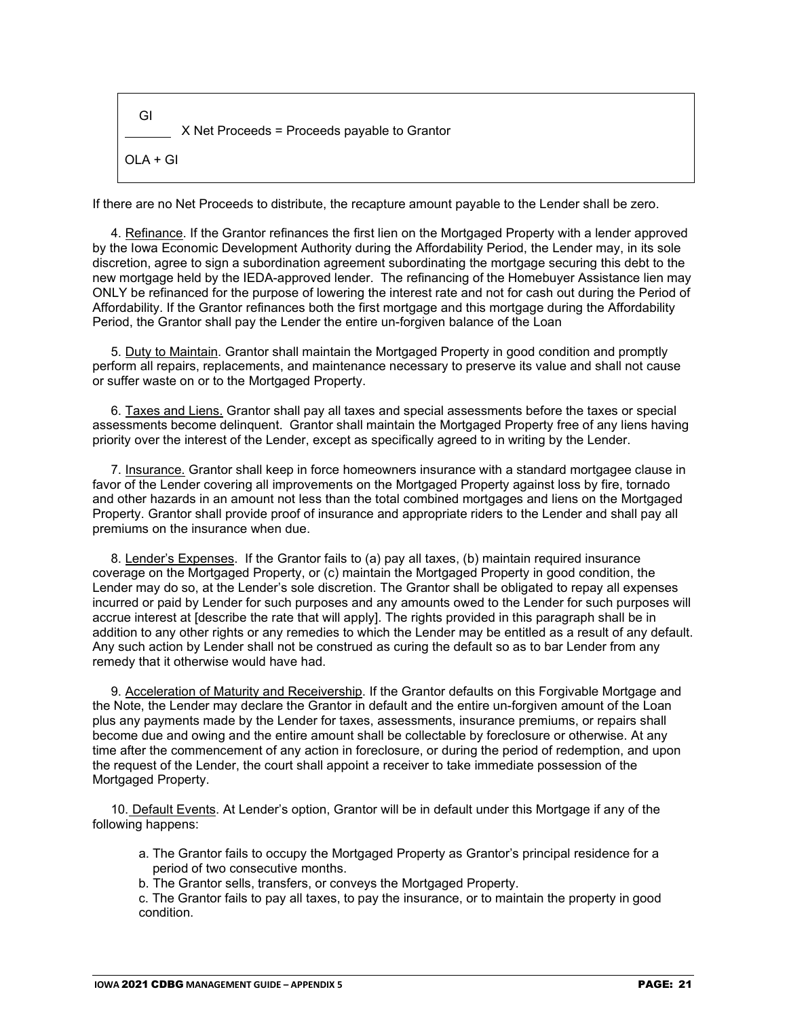GI X Net Proceeds = Proceeds payable to Grantor  $OLA + GI$ 

If there are no Net Proceeds to distribute, the recapture amount payable to the Lender shall be zero.

4. Refinance. If the Grantor refinances the first lien on the Mortgaged Property with a lender approved by the Iowa Economic Development Authority during the Affordability Period, the Lender may, in its sole discretion, agree to sign a subordination agreement subordinating the mortgage securing this debt to the new mortgage held by the IEDA-approved lender. The refinancing of the Homebuyer Assistance lien may ONLY be refinanced for the purpose of lowering the interest rate and not for cash out during the Period of Affordability. If the Grantor refinances both the first mortgage and this mortgage during the Affordability Period, the Grantor shall pay the Lender the entire un-forgiven balance of the Loan

5. Duty to Maintain. Grantor shall maintain the Mortgaged Property in good condition and promptly perform all repairs, replacements, and maintenance necessary to preserve its value and shall not cause or suffer waste on or to the Mortgaged Property.

6. Taxes and Liens. Grantor shall pay all taxes and special assessments before the taxes or special assessments become delinquent. Grantor shall maintain the Mortgaged Property free of any liens having priority over the interest of the Lender, except as specifically agreed to in writing by the Lender.

7. Insurance. Grantor shall keep in force homeowners insurance with a standard mortgagee clause in favor of the Lender covering all improvements on the Mortgaged Property against loss by fire, tornado and other hazards in an amount not less than the total combined mortgages and liens on the Mortgaged Property. Grantor shall provide proof of insurance and appropriate riders to the Lender and shall pay all premiums on the insurance when due.

8. Lender's Expenses. If the Grantor fails to (a) pay all taxes, (b) maintain required insurance coverage on the Mortgaged Property, or (c) maintain the Mortgaged Property in good condition, the Lender may do so, at the Lender's sole discretion. The Grantor shall be obligated to repay all expenses incurred or paid by Lender for such purposes and any amounts owed to the Lender for such purposes will accrue interest at [describe the rate that will apply]. The rights provided in this paragraph shall be in addition to any other rights or any remedies to which the Lender may be entitled as a result of any default. Any such action by Lender shall not be construed as curing the default so as to bar Lender from any remedy that it otherwise would have had.

9. Acceleration of Maturity and Receivership. If the Grantor defaults on this Forgivable Mortgage and the Note, the Lender may declare the Grantor in default and the entire un-forgiven amount of the Loan plus any payments made by the Lender for taxes, assessments, insurance premiums, or repairs shall become due and owing and the entire amount shall be collectable by foreclosure or otherwise. At any time after the commencement of any action in foreclosure, or during the period of redemption, and upon the request of the Lender, the court shall appoint a receiver to take immediate possession of the Mortgaged Property.

10. Default Events. At Lender's option, Grantor will be in default under this Mortgage if any of the following happens:

- a. The Grantor fails to occupy the Mortgaged Property as Grantor's principal residence for a period of two consecutive months.
- b. The Grantor sells, transfers, or conveys the Mortgaged Property.

c. The Grantor fails to pay all taxes, to pay the insurance, or to maintain the property in good condition.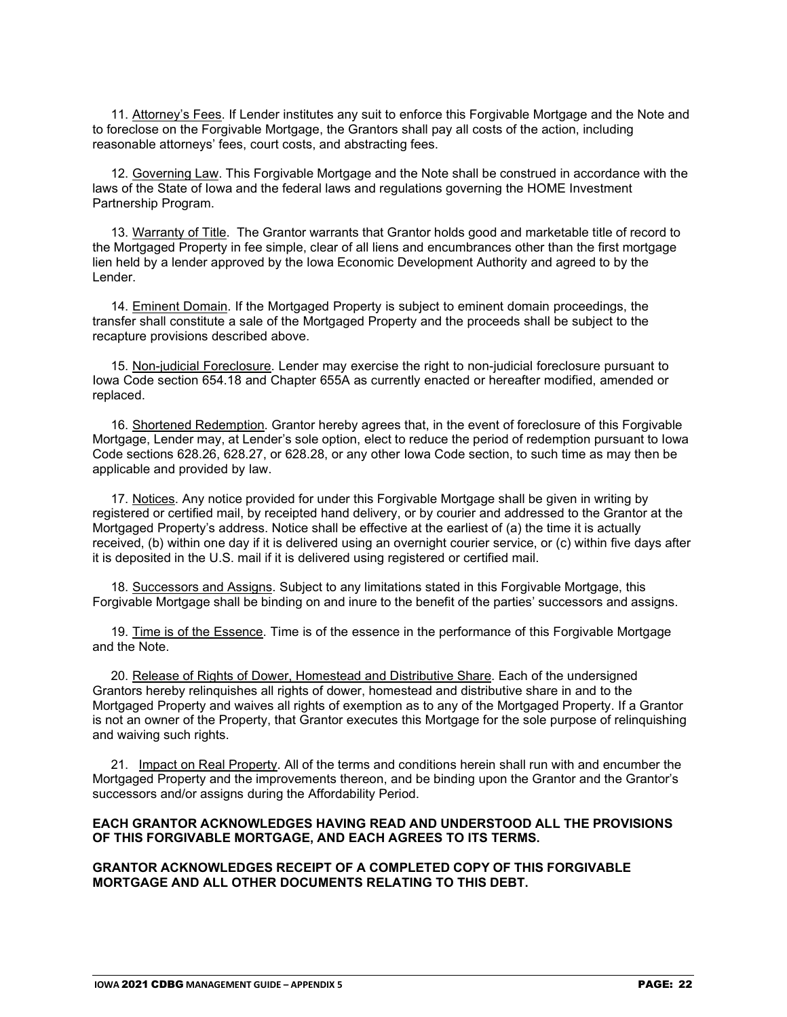11. Attorney's Fees. If Lender institutes any suit to enforce this Forgivable Mortgage and the Note and to foreclose on the Forgivable Mortgage, the Grantors shall pay all costs of the action, including reasonable attorneys' fees, court costs, and abstracting fees.

12. Governing Law. This Forgivable Mortgage and the Note shall be construed in accordance with the laws of the State of Iowa and the federal laws and regulations governing the HOME Investment Partnership Program.

13. Warranty of Title. The Grantor warrants that Grantor holds good and marketable title of record to the Mortgaged Property in fee simple, clear of all liens and encumbrances other than the first mortgage lien held by a lender approved by the Iowa Economic Development Authority and agreed to by the Lender.

14. Eminent Domain. If the Mortgaged Property is subject to eminent domain proceedings, the transfer shall constitute a sale of the Mortgaged Property and the proceeds shall be subject to the recapture provisions described above.

15. Non-judicial Foreclosure. Lender may exercise the right to non-judicial foreclosure pursuant to Iowa Code section 654.18 and Chapter 655A as currently enacted or hereafter modified, amended or replaced.

16. Shortened Redemption. Grantor hereby agrees that, in the event of foreclosure of this Forgivable Mortgage, Lender may, at Lender's sole option, elect to reduce the period of redemption pursuant to Iowa Code sections 628.26, 628.27, or 628.28, or any other Iowa Code section, to such time as may then be applicable and provided by law.

17. Notices. Any notice provided for under this Forgivable Mortgage shall be given in writing by registered or certified mail, by receipted hand delivery, or by courier and addressed to the Grantor at the Mortgaged Property's address. Notice shall be effective at the earliest of (a) the time it is actually received, (b) within one day if it is delivered using an overnight courier service, or (c) within five days after it is deposited in the U.S. mail if it is delivered using registered or certified mail.

18. Successors and Assigns. Subject to any limitations stated in this Forgivable Mortgage, this Forgivable Mortgage shall be binding on and inure to the benefit of the parties' successors and assigns.

19. Time is of the Essence. Time is of the essence in the performance of this Forgivable Mortgage and the Note.

20. Release of Rights of Dower, Homestead and Distributive Share. Each of the undersigned Grantors hereby relinquishes all rights of dower, homestead and distributive share in and to the Mortgaged Property and waives all rights of exemption as to any of the Mortgaged Property. If a Grantor is not an owner of the Property, that Grantor executes this Mortgage for the sole purpose of relinquishing and waiving such rights.

21. Impact on Real Property. All of the terms and conditions herein shall run with and encumber the Mortgaged Property and the improvements thereon, and be binding upon the Grantor and the Grantor's successors and/or assigns during the Affordability Period.

#### **EACH GRANTOR ACKNOWLEDGES HAVING READ AND UNDERSTOOD ALL THE PROVISIONS OF THIS FORGIVABLE MORTGAGE, AND EACH AGREES TO ITS TERMS.**

#### **GRANTOR ACKNOWLEDGES RECEIPT OF A COMPLETED COPY OF THIS FORGIVABLE MORTGAGE AND ALL OTHER DOCUMENTS RELATING TO THIS DEBT.**